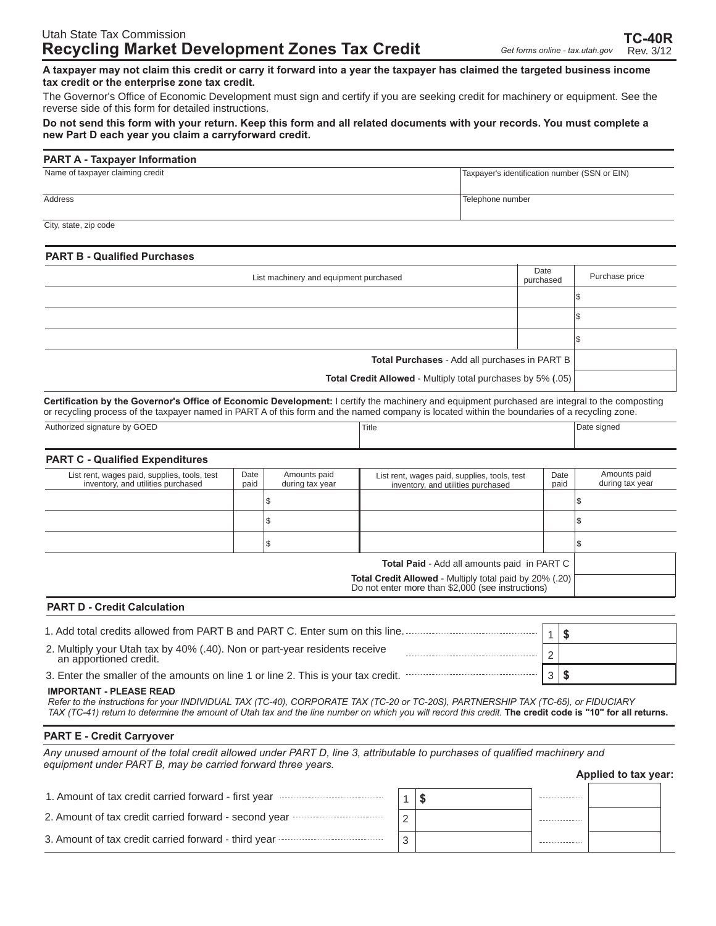**A taxpayer may not claim this credit or carry it forward into a year the taxpayer has claimed the targeted business income tax credit or the enterprise zone tax credit.**

The Governor's Office of Economic Development must sign and certify if you are seeking credit for machinery or equipment. See the reverse side of this form for detailed instructions.

#### **Do not send this form with your return. Keep this form and all related documents with your records. You must complete a new Part D each year you claim a carryforward credit.**

#### **PART A - Taxpayer Information**

| Name of taxpayer claiming credit | Taxpayer's identification number (SSN or EIN) |  |  |
|----------------------------------|-----------------------------------------------|--|--|
| Address                          | Telephone number                              |  |  |
| City, state, zip code            |                                               |  |  |

#### **PART B - Qualified Purchases**

| List machinery and equipment purchased                      | Date<br>purchased | Purchase price |
|-------------------------------------------------------------|-------------------|----------------|
|                                                             |                   |                |
|                                                             |                   | دت⊍            |
|                                                             |                   | ه ا            |
| Total Purchases - Add all purchases in PART B               |                   |                |
| Total Credit Allowed - Multiply total purchases by 5% (.05) |                   |                |

**Certification by the Governor's Office of Economic Development:** I certify the machinery and equipment purchased are integral to the composting or recycling process of the taxpayer named in PART A of this form and the named company is located within the boundaries of a recycling zone.

| Authorized signature by GOED           | Title | Date signed |
|----------------------------------------|-------|-------------|
|                                        |       |             |
| <b>PART C - Qualified Expenditures</b> |       |             |

| List rent, wages paid, supplies, tools, test<br>inventory, and utilities purchased                               | Date<br>paid | Amounts paid<br>during tax year | List rent, wages paid, supplies, tools, test<br>inventory, and utilities purchased | Date<br>paid | Amounts paid<br>during tax year |
|------------------------------------------------------------------------------------------------------------------|--------------|---------------------------------|------------------------------------------------------------------------------------|--------------|---------------------------------|
|                                                                                                                  |              |                                 |                                                                                    |              |                                 |
|                                                                                                                  |              | Φ                               |                                                                                    |              |                                 |
|                                                                                                                  |              | Œ                               |                                                                                    |              |                                 |
| <b>Total Paid - Add all amounts paid in PART C</b>                                                               |              |                                 |                                                                                    |              |                                 |
| <b>Total Credit Allowed</b> - Multiply total paid by 20% (.20) Do not enter more than \$2,000 (see instructions) |              |                                 |                                                                                    |              |                                 |

#### **PART D - Credit Calculation**

| 1. Add total credits allowed from PART B and PART C. Enter sum on this line.                      |  |
|---------------------------------------------------------------------------------------------------|--|
| 2. Multiply your Utah tax by 40% (.40). Non or part-year residents receive an apportioned credit. |  |
| 3. Enter the smaller of the amounts on line 1 or line 2. This is your tax credit.                 |  |

#### **IMPORTANT - PLEASE READ**

TAX (TC-41) return to determine the amount of Utah tax and the line number on which you will record this credit. The credit code is "10" for all returns. *Refer to the instructions for your INDIVIDUAL TAX (TC-40), CORPORATE TAX (TC-20 or TC-20S), PARTNERSHIP TAX (TC-65), or FIDUCIARY*

#### **PART E - Credit Carryover**

*Any unused amount of the total credit allowed under PART D, line 3, attributable to purchases of qualified machinery and equipment under PART B, may be carried forward three years.*

**Applied to tax year:**

| 1. Amount of tax credit carried forward - first year  |  |  |
|-------------------------------------------------------|--|--|
| 2. Amount of tax credit carried forward - second year |  |  |
| 3. Amount of tax credit carried forward - third year  |  |  |